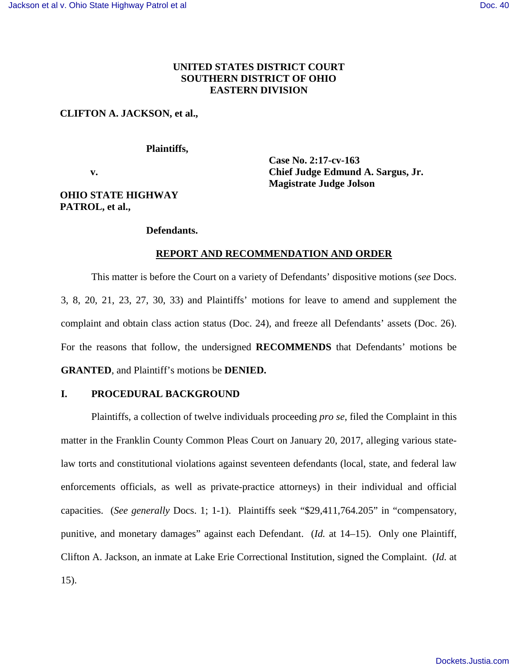## **UNITED STATES DISTRICT COURT SOUTHERN DISTRICT OF OHIO EASTERN DIVISION**

### **CLIFTON A. JACKSON, et al.,**

#### **Plaintiffs,**

 **v.** 

**Case No. 2:17-cv-163 Chief Judge Edmund A. Sargus, Jr. Magistrate Judge Jolson** 

# **OHIO STATE HIGHWAY PATROL, et al.,**

#### **Defendants.**

### **REPORT AND RECOMMENDATION AND ORDER**

This matter is before the Court on a variety of Defendants' dispositive motions (*see* Docs. 3, 8, 20, 21, 23, 27, 30, 33) and Plaintiffs' motions for leave to amend and supplement the complaint and obtain class action status (Doc. 24), and freeze all Defendants' assets (Doc. 26). For the reasons that follow, the undersigned **RECOMMENDS** that Defendants' motions be **GRANTED**, and Plaintiff's motions be **DENIED.**

## **I. PROCEDURAL BACKGROUND**

Plaintiffs, a collection of twelve individuals proceeding *pro se*, filed the Complaint in this matter in the Franklin County Common Pleas Court on January 20, 2017, alleging various statelaw torts and constitutional violations against seventeen defendants (local, state, and federal law enforcements officials, as well as private-practice attorneys) in their individual and official capacities. (*See generally* Docs. 1; 1-1). Plaintiffs seek "\$29,411,764.205" in "compensatory, punitive, and monetary damages" against each Defendant. (*Id.* at 14–15). Only one Plaintiff, Clifton A. Jackson, an inmate at Lake Erie Correctional Institution, signed the Complaint. (*Id.* at 15).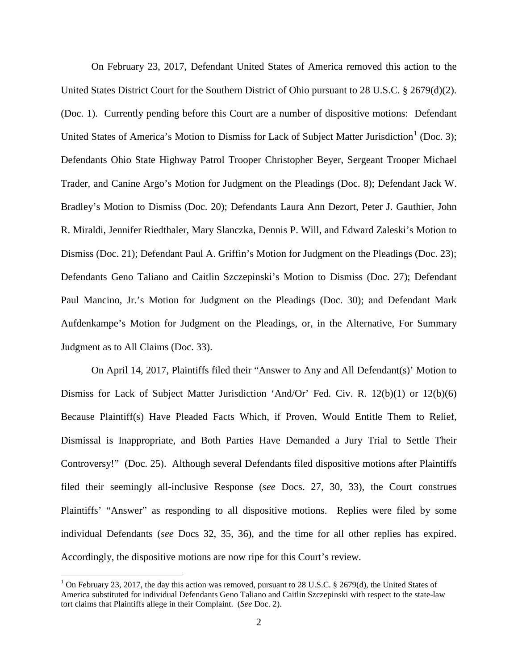On February 23, 2017, Defendant United States of America removed this action to the United States District Court for the Southern District of Ohio pursuant to 28 U.S.C. § 2679(d)(2). (Doc. 1). Currently pending before this Court are a number of dispositive motions: Defendant United States of America's Motion to Dismiss for Lack of Subject Matter Jurisdiction<sup>[1](#page-1-0)</sup> (Doc. 3); Defendants Ohio State Highway Patrol Trooper Christopher Beyer, Sergeant Trooper Michael Trader, and Canine Argo's Motion for Judgment on the Pleadings (Doc. 8); Defendant Jack W. Bradley's Motion to Dismiss (Doc. 20); Defendants Laura Ann Dezort, Peter J. Gauthier, John R. Miraldi, Jennifer Riedthaler, Mary Slanczka, Dennis P. Will, and Edward Zaleski's Motion to Dismiss (Doc. 21); Defendant Paul A. Griffin's Motion for Judgment on the Pleadings (Doc. 23); Defendants Geno Taliano and Caitlin Szczepinski's Motion to Dismiss (Doc. 27); Defendant Paul Mancino, Jr.'s Motion for Judgment on the Pleadings (Doc. 30); and Defendant Mark Aufdenkampe's Motion for Judgment on the Pleadings, or, in the Alternative, For Summary Judgment as to All Claims (Doc. 33).

On April 14, 2017, Plaintiffs filed their "Answer to Any and All Defendant(s)' Motion to Dismiss for Lack of Subject Matter Jurisdiction 'And/Or' Fed. Civ. R. 12(b)(1) or 12(b)(6) Because Plaintiff(s) Have Pleaded Facts Which, if Proven, Would Entitle Them to Relief, Dismissal is Inappropriate, and Both Parties Have Demanded a Jury Trial to Settle Their Controversy!" (Doc. 25). Although several Defendants filed dispositive motions after Plaintiffs filed their seemingly all-inclusive Response (*see* Docs. 27, 30, 33), the Court construes Plaintiffs' "Answer" as responding to all dispositive motions. Replies were filed by some individual Defendants (*see* Docs 32, 35, 36), and the time for all other replies has expired. Accordingly, the dispositive motions are now ripe for this Court's review.

<u>.</u>

<span id="page-1-0"></span><sup>&</sup>lt;sup>1</sup> On February 23, 2017, the day this action was removed, pursuant to 28 U.S.C. § 2679(d), the United States of America substituted for individual Defendants Geno Taliano and Caitlin Szczepinski with respect to the state-law tort claims that Plaintiffs allege in their Complaint. (*See* Doc. 2).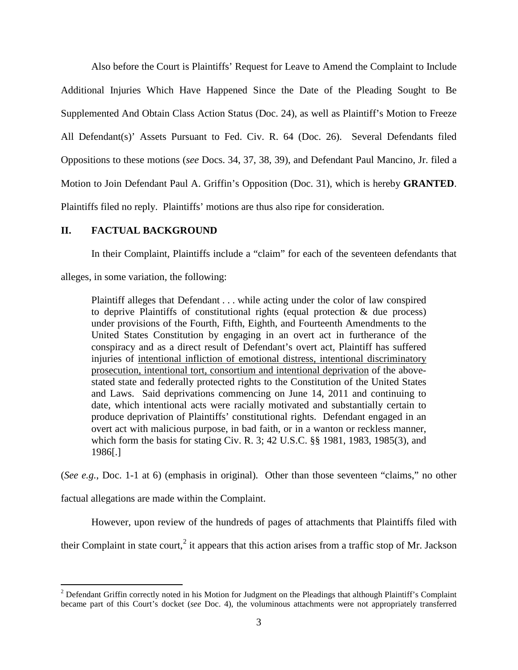Also before the Court is Plaintiffs' Request for Leave to Amend the Complaint to Include Additional Injuries Which Have Happened Since the Date of the Pleading Sought to Be Supplemented And Obtain Class Action Status (Doc. 24), as well as Plaintiff's Motion to Freeze All Defendant(s)' Assets Pursuant to Fed. Civ. R. 64 (Doc. 26). Several Defendants filed Oppositions to these motions (*see* Docs. 34, 37, 38, 39), and Defendant Paul Mancino, Jr. filed a Motion to Join Defendant Paul A. Griffin's Opposition (Doc. 31), which is hereby **GRANTED**. Plaintiffs filed no reply. Plaintiffs' motions are thus also ripe for consideration.

# **II. FACTUAL BACKGROUND**

In their Complaint, Plaintiffs include a "claim" for each of the seventeen defendants that

alleges, in some variation, the following:

Plaintiff alleges that Defendant . . . while acting under the color of law conspired to deprive Plaintiffs of constitutional rights (equal protection  $\&$  due process) under provisions of the Fourth, Fifth, Eighth, and Fourteenth Amendments to the United States Constitution by engaging in an overt act in furtherance of the conspiracy and as a direct result of Defendant's overt act, Plaintiff has suffered injuries of intentional infliction of emotional distress, intentional discriminatory prosecution, intentional tort, consortium and intentional deprivation of the abovestated state and federally protected rights to the Constitution of the United States and Laws. Said deprivations commencing on June 14, 2011 and continuing to date, which intentional acts were racially motivated and substantially certain to produce deprivation of Plaintiffs' constitutional rights. Defendant engaged in an overt act with malicious purpose, in bad faith, or in a wanton or reckless manner, which form the basis for stating Civ. R. 3; 42 U.S.C. §§ 1981, 1983, 1985(3), and 1986[.]

(*See e.g.*, Doc. 1-1 at 6) (emphasis in original). Other than those seventeen "claims," no other

factual allegations are made within the Complaint.

However, upon review of the hundreds of pages of attachments that Plaintiffs filed with

their Complaint in state court,<sup>[2](#page-2-0)</sup> it appears that this action arises from a traffic stop of Mr. Jackson

<span id="page-2-0"></span> $\overline{a}$  $2^{2}$  Defendant Griffin correctly noted in his Motion for Judgment on the Pleadings that although Plaintiff's Complaint became part of this Court's docket (*see* Doc. 4), the voluminous attachments were not appropriately transferred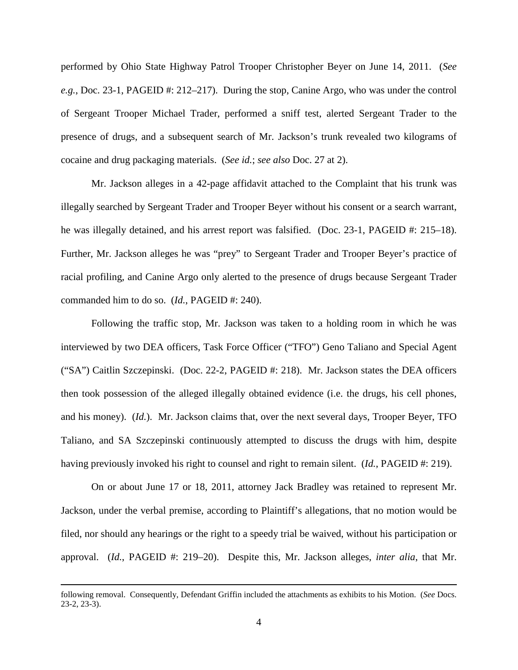performed by Ohio State Highway Patrol Trooper Christopher Beyer on June 14, 2011. (*See e.g.*, Doc. 23-1, PAGEID #: 212–217). During the stop, Canine Argo, who was under the control of Sergeant Trooper Michael Trader, performed a sniff test, alerted Sergeant Trader to the presence of drugs, and a subsequent search of Mr. Jackson's trunk revealed two kilograms of cocaine and drug packaging materials. (*See id.*; *see also* Doc. 27 at 2).

Mr. Jackson alleges in a 42-page affidavit attached to the Complaint that his trunk was illegally searched by Sergeant Trader and Trooper Beyer without his consent or a search warrant, he was illegally detained, and his arrest report was falsified. (Doc. 23-1, PAGEID #: 215–18). Further, Mr. Jackson alleges he was "prey" to Sergeant Trader and Trooper Beyer's practice of racial profiling, and Canine Argo only alerted to the presence of drugs because Sergeant Trader commanded him to do so. (*Id.*, PAGEID #: 240).

Following the traffic stop, Mr. Jackson was taken to a holding room in which he was interviewed by two DEA officers, Task Force Officer ("TFO") Geno Taliano and Special Agent ("SA") Caitlin Szczepinski. (Doc. 22-2, PAGEID #: 218). Mr. Jackson states the DEA officers then took possession of the alleged illegally obtained evidence (i.e. the drugs, his cell phones, and his money). (*Id.*). Mr. Jackson claims that, over the next several days, Trooper Beyer, TFO Taliano, and SA Szczepinski continuously attempted to discuss the drugs with him, despite having previously invoked his right to counsel and right to remain silent. (*Id.*, PAGEID #: 219).

On or about June 17 or 18, 2011, attorney Jack Bradley was retained to represent Mr. Jackson, under the verbal premise, according to Plaintiff's allegations, that no motion would be filed, nor should any hearings or the right to a speedy trial be waived, without his participation or approval. (*Id.*, PAGEID #: 219–20). Despite this, Mr. Jackson alleges, *inter alia*, that Mr.

 $\overline{a}$ 

following removal. Consequently, Defendant Griffin included the attachments as exhibits to his Motion. (*See* Docs. 23-2, 23-3).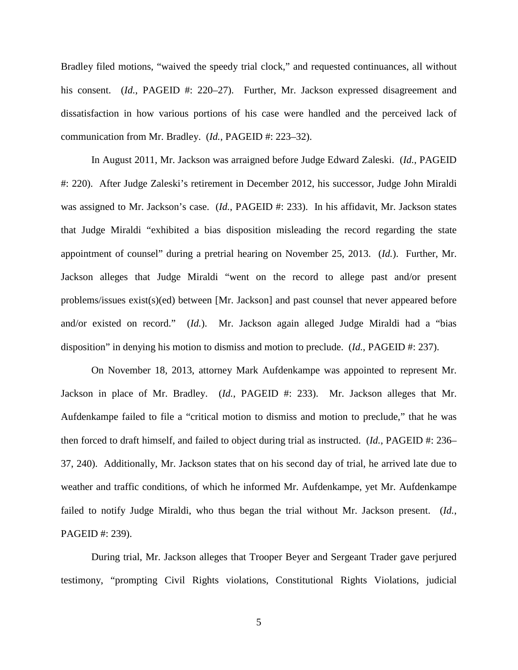Bradley filed motions, "waived the speedy trial clock," and requested continuances, all without his consent. *(Id., PAGEID #: 220–27).* Further, Mr. Jackson expressed disagreement and dissatisfaction in how various portions of his case were handled and the perceived lack of communication from Mr. Bradley. (*Id.*, PAGEID #: 223–32).

In August 2011, Mr. Jackson was arraigned before Judge Edward Zaleski. (*Id.*, PAGEID #: 220). After Judge Zaleski's retirement in December 2012, his successor, Judge John Miraldi was assigned to Mr. Jackson's case. (*Id.*, PAGEID #: 233). In his affidavit, Mr. Jackson states that Judge Miraldi "exhibited a bias disposition misleading the record regarding the state appointment of counsel" during a pretrial hearing on November 25, 2013. (*Id.*). Further, Mr. Jackson alleges that Judge Miraldi "went on the record to allege past and/or present problems/issues exist(s)(ed) between [Mr. Jackson] and past counsel that never appeared before and/or existed on record." (*Id.*). Mr. Jackson again alleged Judge Miraldi had a "bias disposition" in denying his motion to dismiss and motion to preclude. (*Id.*, PAGEID #: 237).

On November 18, 2013, attorney Mark Aufdenkampe was appointed to represent Mr. Jackson in place of Mr. Bradley. (*Id.*, PAGEID #: 233). Mr. Jackson alleges that Mr. Aufdenkampe failed to file a "critical motion to dismiss and motion to preclude," that he was then forced to draft himself, and failed to object during trial as instructed. (*Id.*, PAGEID #: 236– 37, 240). Additionally, Mr. Jackson states that on his second day of trial, he arrived late due to weather and traffic conditions, of which he informed Mr. Aufdenkampe, yet Mr. Aufdenkampe failed to notify Judge Miraldi, who thus began the trial without Mr. Jackson present. (*Id.*, PAGEID #: 239).

During trial, Mr. Jackson alleges that Trooper Beyer and Sergeant Trader gave perjured testimony, "prompting Civil Rights violations, Constitutional Rights Violations, judicial

5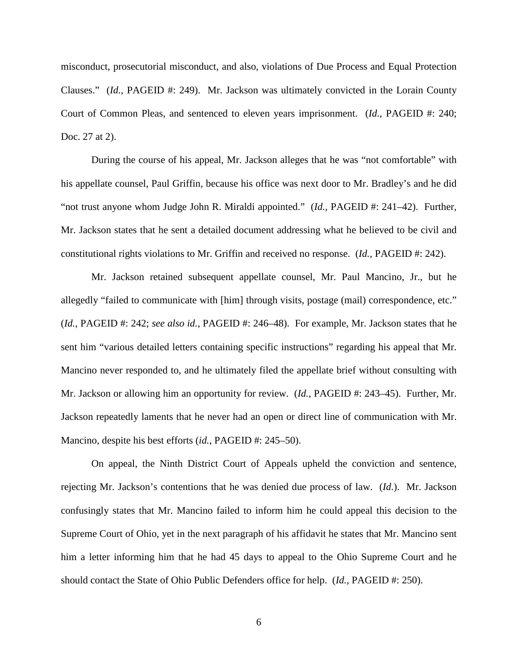misconduct, prosecutorial misconduct, and also, violations of Due Process and Equal Protection Clauses." *(Id., PAGEID #: 249).* Mr. Jackson was ultimately convicted in the Lorain County Court of Common Pleas, and sentenced to eleven years imprisonment. (*Id.*, PAGEID #: 240; Doc. 27 at 2).

During the course of his appeal, Mr. Jackson alleges that he was "not comfortable" with his appellate counsel, Paul Griffin, because his office was next door to Mr. Bradley's and he did "not trust anyone whom Judge John R. Miraldi appointed." (*Id.*, PAGEID #: 241–42). Further, Mr. Jackson states that he sent a detailed document addressing what he believed to be civil and constitutional rights violations to Mr. Griffin and received no response. (*Id.*, PAGEID #: 242).

Mr. Jackson retained subsequent appellate counsel, Mr. Paul Mancino, Jr., but he allegedly "failed to communicate with [him] through visits, postage (mail) correspondence, etc." (*Id.*, PAGEID #: 242; *see also id.*, PAGEID #: 246–48). For example, Mr. Jackson states that he sent him "various detailed letters containing specific instructions" regarding his appeal that Mr. Mancino never responded to, and he ultimately filed the appellate brief without consulting with Mr. Jackson or allowing him an opportunity for review. (*Id.*, PAGEID #: 243–45). Further, Mr. Jackson repeatedly laments that he never had an open or direct line of communication with Mr. Mancino, despite his best efforts (*id.*, PAGEID #: 245–50).

On appeal, the Ninth District Court of Appeals upheld the conviction and sentence, rejecting Mr. Jackson's contentions that he was denied due process of law. (*Id*.). Mr. Jackson confusingly states that Mr. Mancino failed to inform him he could appeal this decision to the Supreme Court of Ohio, yet in the next paragraph of his affidavit he states that Mr. Mancino sent him a letter informing him that he had 45 days to appeal to the Ohio Supreme Court and he should contact the State of Ohio Public Defenders office for help. (*Id.*, PAGEID #: 250).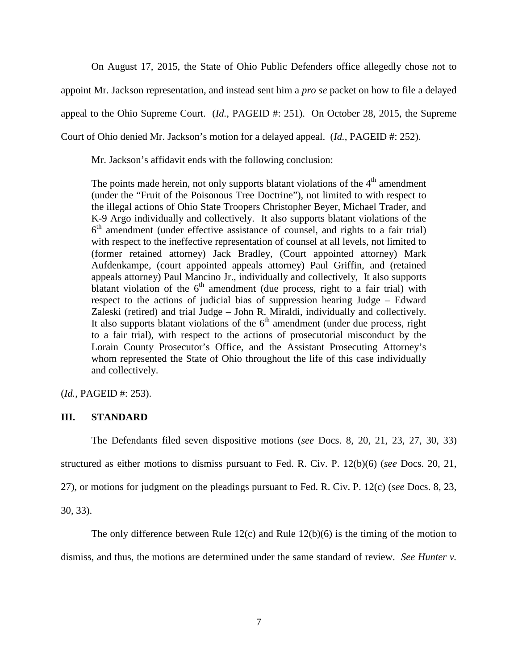On August 17, 2015, the State of Ohio Public Defenders office allegedly chose not to appoint Mr. Jackson representation, and instead sent him a *pro se* packet on how to file a delayed appeal to the Ohio Supreme Court. (*Id.*, PAGEID #: 251). On October 28, 2015, the Supreme Court of Ohio denied Mr. Jackson's motion for a delayed appeal. (*Id.*, PAGEID #: 252).

Mr. Jackson's affidavit ends with the following conclusion:

The points made herein, not only supports blatant violations of the  $4<sup>th</sup>$  amendment (under the "Fruit of the Poisonous Tree Doctrine"), not limited to with respect to the illegal actions of Ohio State Troopers Christopher Beyer, Michael Trader, and K-9 Argo individually and collectively. It also supports blatant violations of the 6<sup>th</sup> amendment (under effective assistance of counsel, and rights to a fair trial) with respect to the ineffective representation of counsel at all levels, not limited to (former retained attorney) Jack Bradley, (Court appointed attorney) Mark Aufdenkampe, (court appointed appeals attorney) Paul Griffin, and (retained appeals attorney) Paul Mancino Jr., individually and collectively, It also supports blatant violation of the  $6<sup>th</sup>$  amendment (due process, right to a fair trial) with respect to the actions of judicial bias of suppression hearing Judge – Edward Zaleski (retired) and trial Judge – John R. Miraldi, individually and collectively. It also supports blatant violations of the  $6<sup>th</sup>$  amendment (under due process, right to a fair trial), with respect to the actions of prosecutorial misconduct by the Lorain County Prosecutor's Office, and the Assistant Prosecuting Attorney's whom represented the State of Ohio throughout the life of this case individually and collectively.

(*Id.*, PAGEID #: 253).

# **III. STANDARD**

The Defendants filed seven dispositive motions (*see* Docs. 8, 20, 21, 23, 27, 30, 33)

structured as either motions to dismiss pursuant to Fed. R. Civ. P. 12(b)(6) (*see* Docs. 20, 21,

27), or motions for judgment on the pleadings pursuant to Fed. R. Civ. P. 12(c) (*see* Docs. 8, 23,

30, 33).

The only difference between Rule  $12(c)$  and Rule  $12(b)(6)$  is the timing of the motion to

dismiss, and thus, the motions are determined under the same standard of review. *See Hunter v.*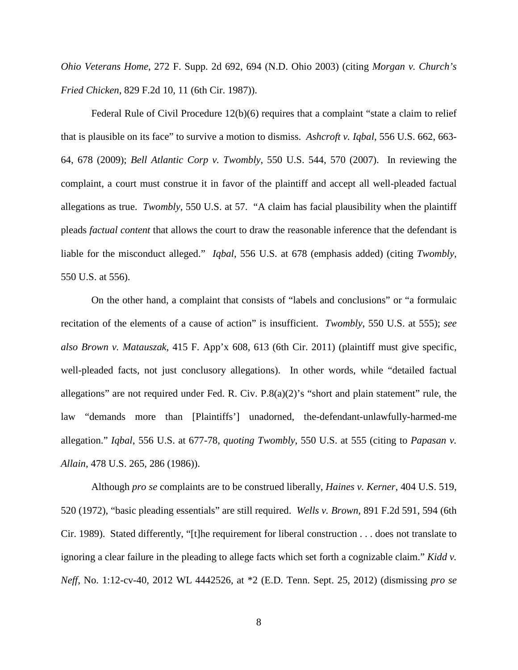*Ohio Veterans Home*, 272 F. Supp. 2d 692, 694 (N.D. Ohio 2003) (citing *Morgan v. Church's Fried Chicken*, 829 F.2d 10, 11 (6th Cir. 1987)).

Federal Rule of Civil Procedure 12(b)(6) requires that a complaint "state a claim to relief that is plausible on its face" to survive a motion to dismiss. *Ashcroft v. Iqbal*, 556 U.S. 662, 663- 64, 678 (2009); *Bell Atlantic Corp v. Twombly*, 550 U.S. 544, 570 (2007). In reviewing the complaint, a court must construe it in favor of the plaintiff and accept all well-pleaded factual allegations as true. *Twombly*, 550 U.S. at 57. "A claim has facial plausibility when the plaintiff pleads *factual content* that allows the court to draw the reasonable inference that the defendant is liable for the misconduct alleged." *Iqbal*, 556 U.S. at 678 (emphasis added) (citing *Twombly*, 550 U.S. at 556).

On the other hand, a complaint that consists of "labels and conclusions" or "a formulaic recitation of the elements of a cause of action" is insufficient. *Twombly*, 550 U.S. at 555); *see also Brown v. Matauszak*, 415 F. App'x 608, 613 (6th Cir. 2011) (plaintiff must give specific, well-pleaded facts, not just conclusory allegations). In other words, while "detailed factual allegations" are not required under Fed. R. Civ. P.8(a)(2)'s "short and plain statement" rule, the law "demands more than [Plaintiffs'] unadorned, the-defendant-unlawfully-harmed-me allegation." *Iqbal*, 556 U.S. at 677-78, *quoting Twombly*, 550 U.S. at 555 (citing to *Papasan v. Allain*, 478 U.S. 265, 286 (1986)).

Although *pro se* complaints are to be construed liberally, *Haines v. Kerner*, 404 U.S. 519, 520 (1972), "basic pleading essentials" are still required. *Wells v. Brown*, 891 F.2d 591, 594 (6th Cir. 1989). Stated differently, "[t]he requirement for liberal construction . . . does not translate to ignoring a clear failure in the pleading to allege facts which set forth a cognizable claim." *Kidd v. Neff*, No. 1:12-cv-40, 2012 WL 4442526, at \*2 (E.D. Tenn. Sept. 25, 2012) (dismissing *pro se*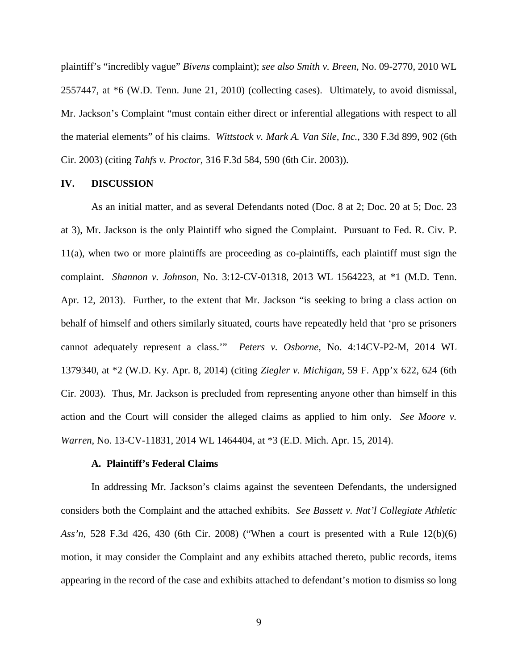plaintiff's "incredibly vague" *Bivens* complaint); *see also Smith v. Breen*, No. 09-2770, 2010 WL 2557447, at \*6 (W.D. Tenn. June 21, 2010) (collecting cases). Ultimately, to avoid dismissal, Mr. Jackson's Complaint "must contain either direct or inferential allegations with respect to all the material elements" of his claims. *Wittstock v. Mark A. Van Sile, Inc.*, 330 F.3d 899, 902 (6th Cir. 2003) (citing *Tahfs v. Proctor*, 316 F.3d 584, 590 (6th Cir. 2003)).

#### **IV. DISCUSSION**

As an initial matter, and as several Defendants noted (Doc. 8 at 2; Doc. 20 at 5; Doc. 23 at 3), Mr. Jackson is the only Plaintiff who signed the Complaint. Pursuant to Fed. R. Civ. P. 11(a), when two or more plaintiffs are proceeding as co-plaintiffs, each plaintiff must sign the complaint. *Shannon v. Johnson*, No. 3:12-CV-01318, 2013 WL 1564223, at \*1 (M.D. Tenn. Apr. 12, 2013). Further, to the extent that Mr. Jackson "is seeking to bring a class action on behalf of himself and others similarly situated, courts have repeatedly held that 'pro se prisoners cannot adequately represent a class.'" *Peters v. Osborne*, No. 4:14CV-P2-M, 2014 WL 1379340, at \*2 (W.D. Ky. Apr. 8, 2014) (citing *Ziegler v. Michigan*, 59 F. App'x 622, 624 (6th Cir. 2003). Thus, Mr. Jackson is precluded from representing anyone other than himself in this action and the Court will consider the alleged claims as applied to him only. *See Moore v. Warren*, No. 13-CV-11831, 2014 WL 1464404, at \*3 (E.D. Mich. Apr. 15, 2014).

#### **A. Plaintiff's Federal Claims**

In addressing Mr. Jackson's claims against the seventeen Defendants, the undersigned considers both the Complaint and the attached exhibits. *See Bassett v. Nat'l Collegiate Athletic Ass'n*, 528 F.3d 426, 430 (6th Cir. 2008) ("When a court is presented with a Rule 12(b)(6) motion, it may consider the Complaint and any exhibits attached thereto, public records, items appearing in the record of the case and exhibits attached to defendant's motion to dismiss so long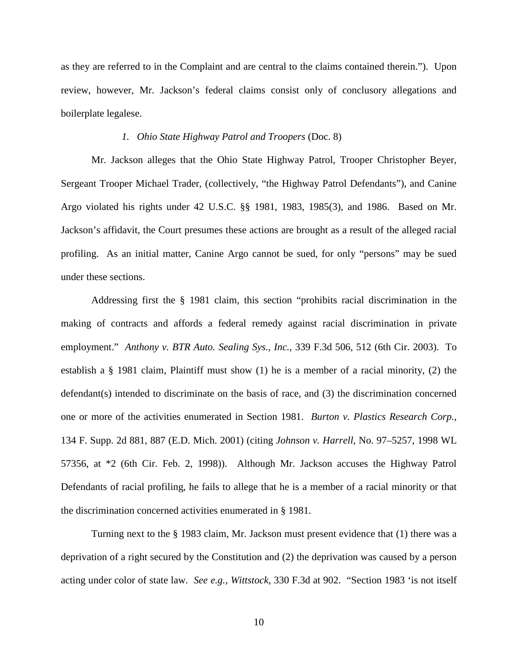as they are referred to in the Complaint and are central to the claims contained therein."). Upon review, however, Mr. Jackson's federal claims consist only of conclusory allegations and boilerplate legalese.

## *1. Ohio State Highway Patrol and Troopers* (Doc. 8)

Mr. Jackson alleges that the Ohio State Highway Patrol, Trooper Christopher Beyer, Sergeant Trooper Michael Trader, (collectively, "the Highway Patrol Defendants"), and Canine Argo violated his rights under 42 U.S.C. §§ 1981, 1983, 1985(3), and 1986. Based on Mr. Jackson's affidavit, the Court presumes these actions are brought as a result of the alleged racial profiling. As an initial matter, Canine Argo cannot be sued, for only "persons" may be sued under these sections.

Addressing first the § 1981 claim, this section "prohibits racial discrimination in the making of contracts and affords a federal remedy against racial discrimination in private employment." *Anthony v. BTR Auto. Sealing Sys., Inc.*, 339 F.3d 506, 512 (6th Cir. 2003). To establish a § 1981 claim, Plaintiff must show (1) he is a member of a racial minority, (2) the defendant(s) intended to discriminate on the basis of race, and (3) the discrimination concerned one or more of the activities enumerated in Section 1981. *Burton v. Plastics Research Corp.*, 134 F. Supp. 2d 881, 887 (E.D. Mich. 2001) (citing *Johnson v. Harrell*, No. 97–5257, 1998 WL 57356, at \*2 (6th Cir. Feb. 2, 1998)). Although Mr. Jackson accuses the Highway Patrol Defendants of racial profiling, he fails to allege that he is a member of a racial minority or that the discrimination concerned activities enumerated in § 1981.

Turning next to the § 1983 claim, Mr. Jackson must present evidence that (1) there was a deprivation of a right secured by the Constitution and (2) the deprivation was caused by a person acting under color of state law. *See e.g.*, *Wittstock*, 330 F.3d at 902. "Section 1983 'is not itself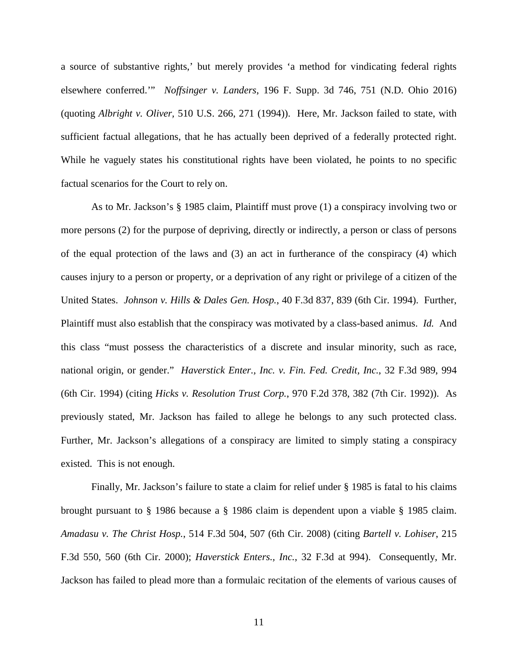a source of substantive rights,' but merely provides 'a method for vindicating federal rights elsewhere conferred.'" *Noffsinger v. Landers*, 196 F. Supp. 3d 746, 751 (N.D. Ohio 2016) (quoting *Albright v. Oliver,* 510 U.S. 266, 271 (1994)). Here, Mr. Jackson failed to state, with sufficient factual allegations, that he has actually been deprived of a federally protected right. While he vaguely states his constitutional rights have been violated, he points to no specific factual scenarios for the Court to rely on.

As to Mr. Jackson's § 1985 claim, Plaintiff must prove (1) a conspiracy involving two or more persons (2) for the purpose of depriving, directly or indirectly, a person or class of persons of the equal protection of the laws and (3) an act in furtherance of the conspiracy (4) which causes injury to a person or property, or a deprivation of any right or privilege of a citizen of the United States. *Johnson v. Hills & Dales Gen. Hosp.*, 40 F.3d 837, 839 (6th Cir. 1994). Further, Plaintiff must also establish that the conspiracy was motivated by a class-based animus. *Id.* And this class "must possess the characteristics of a discrete and insular minority, such as race, national origin, or gender." *Haverstick Enter., Inc. v. Fin. Fed. Credit, Inc.*, 32 F.3d 989, 994 (6th Cir. 1994) (citing *Hicks v. Resolution Trust Corp.*, 970 F.2d 378, 382 (7th Cir. 1992)). As previously stated, Mr. Jackson has failed to allege he belongs to any such protected class. Further, Mr. Jackson's allegations of a conspiracy are limited to simply stating a conspiracy existed. This is not enough.

Finally, Mr. Jackson's failure to state a claim for relief under § 1985 is fatal to his claims brought pursuant to § 1986 because a § 1986 claim is dependent upon a viable § 1985 claim. *Amadasu v. The Christ Hosp.*, 514 F.3d 504, 507 (6th Cir. 2008) (citing *Bartell v. Lohiser*, 215 F.3d 550, 560 (6th Cir. 2000); *Haverstick Enters., Inc.*, 32 F.3d at 994). Consequently, Mr. Jackson has failed to plead more than a formulaic recitation of the elements of various causes of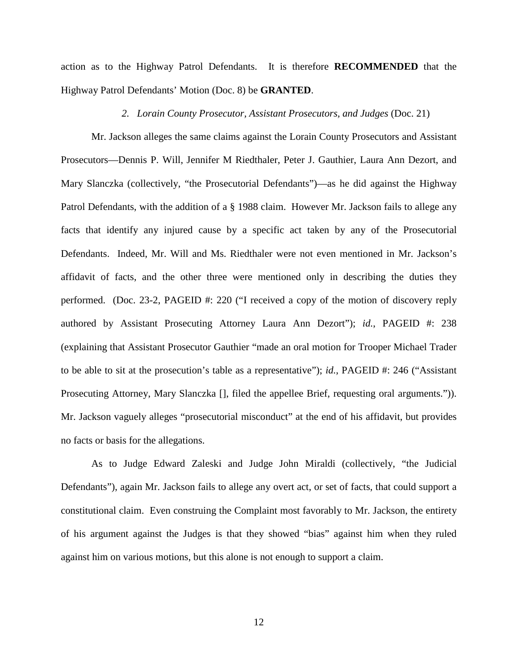action as to the Highway Patrol Defendants. It is therefore **RECOMMENDED** that the Highway Patrol Defendants' Motion (Doc. 8) be **GRANTED**.

#### *2. Lorain County Prosecutor, Assistant Prosecutors, and Judges* (Doc. 21)

Mr. Jackson alleges the same claims against the Lorain County Prosecutors and Assistant Prosecutors—Dennis P. Will, Jennifer M Riedthaler, Peter J. Gauthier, Laura Ann Dezort, and Mary Slanczka (collectively, "the Prosecutorial Defendants")—as he did against the Highway Patrol Defendants, with the addition of a § 1988 claim. However Mr. Jackson fails to allege any facts that identify any injured cause by a specific act taken by any of the Prosecutorial Defendants. Indeed, Mr. Will and Ms. Riedthaler were not even mentioned in Mr. Jackson's affidavit of facts, and the other three were mentioned only in describing the duties they performed. (Doc. 23-2, PAGEID #: 220 ("I received a copy of the motion of discovery reply authored by Assistant Prosecuting Attorney Laura Ann Dezort"); *id.*, PAGEID #: 238 (explaining that Assistant Prosecutor Gauthier "made an oral motion for Trooper Michael Trader to be able to sit at the prosecution's table as a representative"); *id.*, PAGEID #: 246 ("Assistant Prosecuting Attorney, Mary Slanczka [], filed the appellee Brief, requesting oral arguments.")). Mr. Jackson vaguely alleges "prosecutorial misconduct" at the end of his affidavit, but provides no facts or basis for the allegations.

As to Judge Edward Zaleski and Judge John Miraldi (collectively, "the Judicial Defendants"), again Mr. Jackson fails to allege any overt act, or set of facts, that could support a constitutional claim. Even construing the Complaint most favorably to Mr. Jackson, the entirety of his argument against the Judges is that they showed "bias" against him when they ruled against him on various motions, but this alone is not enough to support a claim.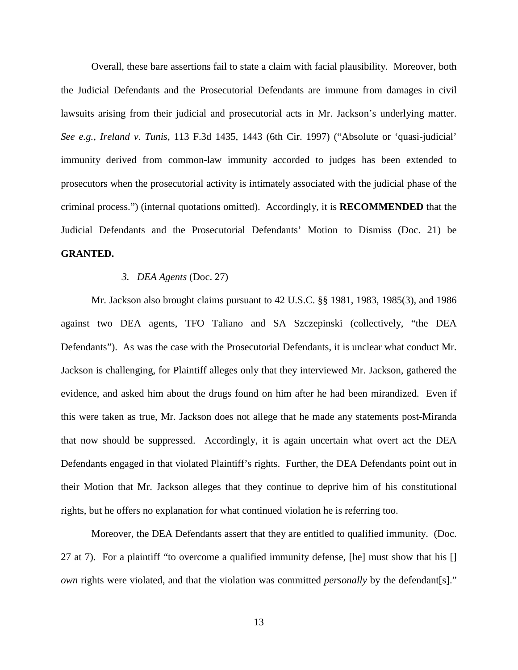Overall, these bare assertions fail to state a claim with facial plausibility. Moreover, both the Judicial Defendants and the Prosecutorial Defendants are immune from damages in civil lawsuits arising from their judicial and prosecutorial acts in Mr. Jackson's underlying matter. *See e.g.*, *Ireland v. Tunis*, 113 F.3d 1435, 1443 (6th Cir. 1997) ("Absolute or 'quasi-judicial' immunity derived from common-law immunity accorded to judges has been extended to prosecutors when the prosecutorial activity is intimately associated with the judicial phase of the criminal process.") (internal quotations omitted). Accordingly, it is **RECOMMENDED** that the Judicial Defendants and the Prosecutorial Defendants' Motion to Dismiss (Doc. 21) be **GRANTED.**

#### *3. DEA Agents* (Doc. 27)

Mr. Jackson also brought claims pursuant to 42 U.S.C. §§ 1981, 1983, 1985(3), and 1986 against two DEA agents, TFO Taliano and SA Szczepinski (collectively, "the DEA Defendants"). As was the case with the Prosecutorial Defendants, it is unclear what conduct Mr. Jackson is challenging, for Plaintiff alleges only that they interviewed Mr. Jackson, gathered the evidence, and asked him about the drugs found on him after he had been mirandized. Even if this were taken as true, Mr. Jackson does not allege that he made any statements post-Miranda that now should be suppressed. Accordingly, it is again uncertain what overt act the DEA Defendants engaged in that violated Plaintiff's rights. Further, the DEA Defendants point out in their Motion that Mr. Jackson alleges that they continue to deprive him of his constitutional rights, but he offers no explanation for what continued violation he is referring too.

Moreover, the DEA Defendants assert that they are entitled to qualified immunity. (Doc. 27 at 7). For a plaintiff "to overcome a qualified immunity defense, [he] must show that his [] *own* rights were violated, and that the violation was committed *personally* by the defendant[s]."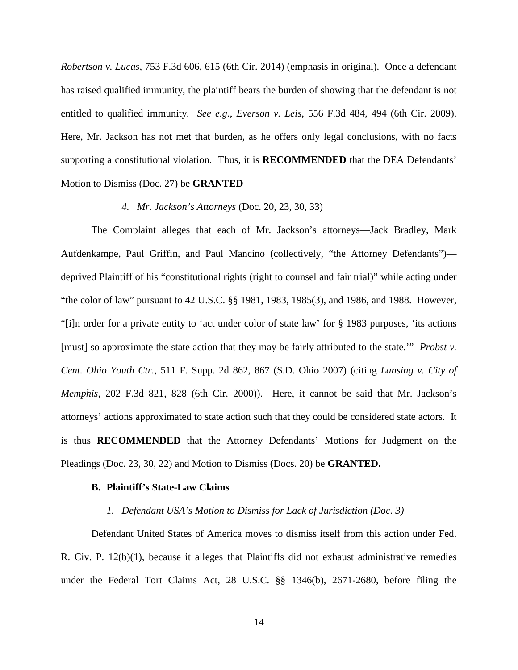*Robertson v. Lucas*, 753 F.3d 606, 615 (6th Cir. 2014) (emphasis in original). Once a defendant has raised qualified immunity, the plaintiff bears the burden of showing that the defendant is not entitled to qualified immunity. *See e.g.*, *Everson v. Leis*, 556 F.3d 484, 494 (6th Cir. 2009). Here, Mr. Jackson has not met that burden, as he offers only legal conclusions, with no facts supporting a constitutional violation. Thus, it is **RECOMMENDED** that the DEA Defendants' Motion to Dismiss (Doc. 27) be **GRANTED**

### *4. Mr. Jackson's Attorneys* (Doc. 20, 23, 30, 33)

The Complaint alleges that each of Mr. Jackson's attorneys—Jack Bradley, Mark Aufdenkampe, Paul Griffin, and Paul Mancino (collectively, "the Attorney Defendants") deprived Plaintiff of his "constitutional rights (right to counsel and fair trial)" while acting under "the color of law" pursuant to 42 U.S.C. §§ 1981, 1983, 1985(3), and 1986, and 1988. However, "[i]n order for a private entity to 'act under color of state law' for § 1983 purposes, 'its actions [must] so approximate the state action that they may be fairly attributed to the state.'" *Probst v. Cent. Ohio Youth Ctr.*, 511 F. Supp. 2d 862, 867 (S.D. Ohio 2007) (citing *Lansing v. City of Memphis*, 202 F.3d 821, 828 (6th Cir. 2000)). Here, it cannot be said that Mr. Jackson's attorneys' actions approximated to state action such that they could be considered state actors. It is thus **RECOMMENDED** that the Attorney Defendants' Motions for Judgment on the Pleadings (Doc. 23, 30, 22) and Motion to Dismiss (Docs. 20) be **GRANTED.**

#### **B. Plaintiff's State-Law Claims**

### *1. Defendant USA's Motion to Dismiss for Lack of Jurisdiction (Doc. 3)*

Defendant United States of America moves to dismiss itself from this action under Fed. R. Civ. P.  $12(b)(1)$ , because it alleges that Plaintiffs did not exhaust administrative remedies under the Federal Tort Claims Act, 28 U.S.C. §§ 1346(b), 2671-2680, before filing the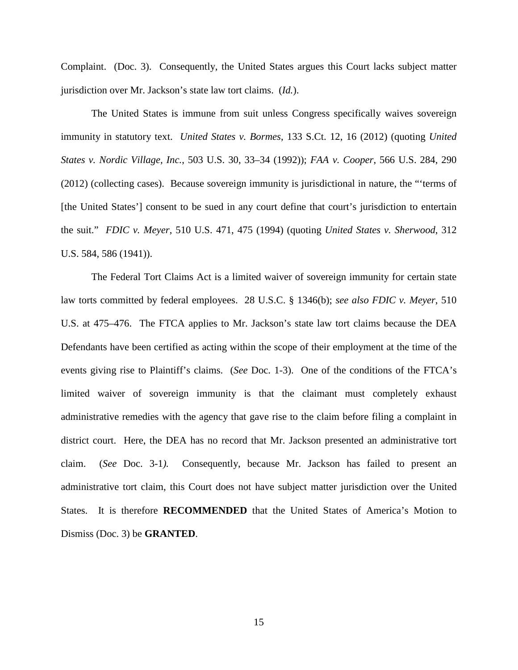Complaint. (Doc. 3). Consequently, the United States argues this Court lacks subject matter jurisdiction over Mr. Jackson's state law tort claims. (*Id.*).

The United States is immune from suit unless Congress specifically waives sovereign immunity in statutory text. *United States v. Bormes*, 133 S.Ct. 12, 16 (2012) (quoting *United States v. Nordic Village, Inc.*, 503 U.S. 30, 33–34 (1992)); *FAA v. Cooper*, 566 U.S. 284, 290 (2012) (collecting cases). Because sovereign immunity is jurisdictional in nature, the "'terms of [the United States'] consent to be sued in any court define that court's jurisdiction to entertain the suit." *FDIC v. Meyer*, 510 U.S. 471, 475 (1994) (quoting *United States v. Sherwood*, 312 U.S. 584, 586 (1941)).

The Federal Tort Claims Act is a limited waiver of sovereign immunity for certain state law torts committed by federal employees. 28 U.S.C. § 1346(b); *see also FDIC v. Meyer*, 510 U.S. at 475–476. The FTCA applies to Mr. Jackson's state law tort claims because the DEA Defendants have been certified as acting within the scope of their employment at the time of the events giving rise to Plaintiff's claims. (*See* Doc. 1-3). One of the conditions of the FTCA's limited waiver of sovereign immunity is that the claimant must completely exhaust administrative remedies with the agency that gave rise to the claim before filing a complaint in district court. Here, the DEA has no record that Mr. Jackson presented an administrative tort claim. (*See* Doc. 3-1*).* Consequently, because Mr. Jackson has failed to present an administrative tort claim, this Court does not have subject matter jurisdiction over the United States. It is therefore **RECOMMENDED** that the United States of America's Motion to Dismiss (Doc. 3) be **GRANTED**.

15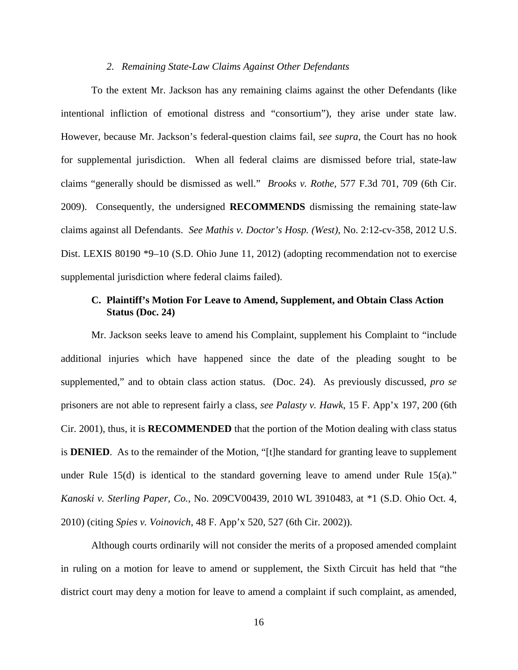#### *2. Remaining State-Law Claims Against Other Defendants*

To the extent Mr. Jackson has any remaining claims against the other Defendants (like intentional infliction of emotional distress and "consortium"), they arise under state law. However, because Mr. Jackson's federal-question claims fail, *see supra*, the Court has no hook for supplemental jurisdiction. When all federal claims are dismissed before trial, state-law claims "generally should be dismissed as well." *Brooks v. Rothe*[, 577 F.3d 701, 709 \(6th Cir.](https://advance.lexis.com/document/?pdmfid=1000516&crid=13cde5c5-2051-4c87-9513-49f66ada9466&pddocfullpath=%2Fshared%2Fdocument%2Fcases%2Furn%3AcontentItem%3A5MR2-X1Y1-F04F-130J-00000-00&pddocid=urn%3AcontentItem%3A5MR2-X1Y1-F04F-130J-00000-00&pdcontentcomponentid=6416&pdshepid=urn%3AcontentItem%3A5MPX-5S31-DXC8-721H-00000-00&pdteaserkey=sr0&ecomp=z4ntk&earg=sr0&prid=bdc05924-a519-43f0-bbfd-11c42f51e27a)  [2009\).](https://advance.lexis.com/document/?pdmfid=1000516&crid=13cde5c5-2051-4c87-9513-49f66ada9466&pddocfullpath=%2Fshared%2Fdocument%2Fcases%2Furn%3AcontentItem%3A5MR2-X1Y1-F04F-130J-00000-00&pddocid=urn%3AcontentItem%3A5MR2-X1Y1-F04F-130J-00000-00&pdcontentcomponentid=6416&pdshepid=urn%3AcontentItem%3A5MPX-5S31-DXC8-721H-00000-00&pdteaserkey=sr0&ecomp=z4ntk&earg=sr0&prid=bdc05924-a519-43f0-bbfd-11c42f51e27a) Consequently, the undersigned **RECOMMENDS** dismissing the remaining state-law claims against all Defendants. *See Mathis v. Doctor's Hosp. (West)*, No. 2:12-cv-358, 2012 U.S. Dist. LEXIS 80190 \*9–10 (S.D. Ohio June 11, 2012) (adopting recommendation not to exercise supplemental jurisdiction where federal claims failed).

# **C. Plaintiff's Motion For Leave to Amend, Supplement, and Obtain Class Action Status (Doc. 24)**

Mr. Jackson seeks leave to amend his Complaint, supplement his Complaint to "include additional injuries which have happened since the date of the pleading sought to be supplemented," and to obtain class action status. (Doc. 24). As previously discussed, *pro se*  prisoners are not able to represent fairly a class, *see Palasty v. Hawk*, 15 F. App'x 197, 200 (6th Cir. 2001), thus, it is **RECOMMENDED** that the portion of the Motion dealing with class status is **DENIED**. As to the remainder of the Motion, "[t]he standard for granting leave to supplement under Rule  $15(d)$  is identical to the standard governing leave to amend under Rule  $15(a)$ ." *Kanoski v. Sterling Paper, Co.*, No. 209CV00439, 2010 WL 3910483, at \*1 (S.D. Ohio Oct. 4, 2010) (citing *Spies v. Voinovich*, 48 F. App'x 520, 527 (6th Cir. 2002)).

Although courts ordinarily will not consider the merits of a proposed amended complaint in ruling on a motion for leave to amend or supplement, the Sixth Circuit has held that "the district court may deny a motion for leave to amend a complaint if such complaint, as amended,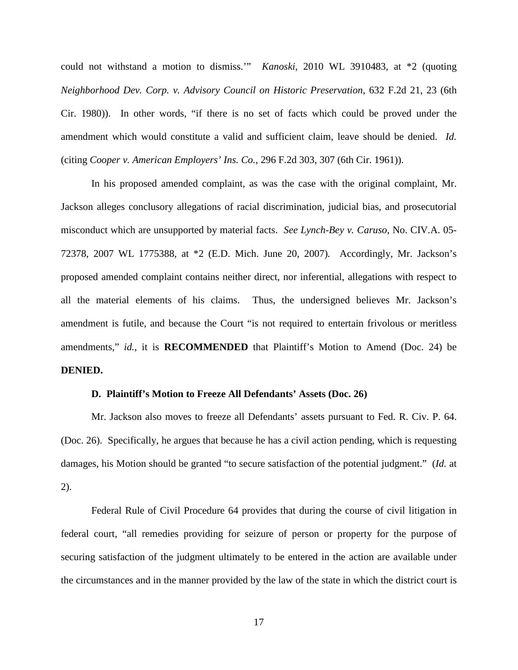could not withstand a motion to dismiss.'" *Kanoski*, 2010 WL 3910483, at \*2 (quoting *Neighborhood Dev. Corp. v. Advisory Council on Historic Preservation*, 632 F.2d 21, 23 (6th Cir. 1980)). In other words, "if there is no set of facts which could be proved under the amendment which would constitute a valid and sufficient claim, leave should be denied. *Id.*  (citing *Cooper v. American Employers' Ins. Co.*, 296 F.2d 303, 307 (6th Cir. 1961)).

In his proposed amended complaint, as was the case with the original complaint, Mr. Jackson alleges conclusory allegations of racial discrimination, judicial bias, and prosecutorial misconduct which are unsupported by material facts. *See Lynch-Bey v. Caruso*, No. CIV.A. 05- 72378, 2007 WL 1775388, at \*2 (E.D. Mich. June 20, 2007)*.* Accordingly, Mr. Jackson's proposed amended complaint contains neither direct, nor inferential, allegations with respect to all the material elements of his claims. Thus, the undersigned believes Mr. Jackson's amendment is futile, and because the Court "is not required to entertain frivolous or meritless amendments," *id.*, it is **RECOMMENDED** that Plaintiff's Motion to Amend (Doc. 24) be **DENIED.**

#### **D. Plaintiff's Motion to Freeze All Defendants' Assets (Doc. 26)**

Mr. Jackson also moves to freeze all Defendants' assets pursuant to Fed. R. Civ. P. 64. (Doc. 26). Specifically, he argues that because he has a civil action pending, which is requesting damages, his Motion should be granted "to secure satisfaction of the potential judgment." (*Id.* at 2).

Federal Rule of Civil Procedure 64 provides that during the course of civil litigation in federal court, "all remedies providing for seizure of person or property for the purpose of securing satisfaction of the judgment ultimately to be entered in the action are available under the circumstances and in the manner provided by the law of the state in which the district court is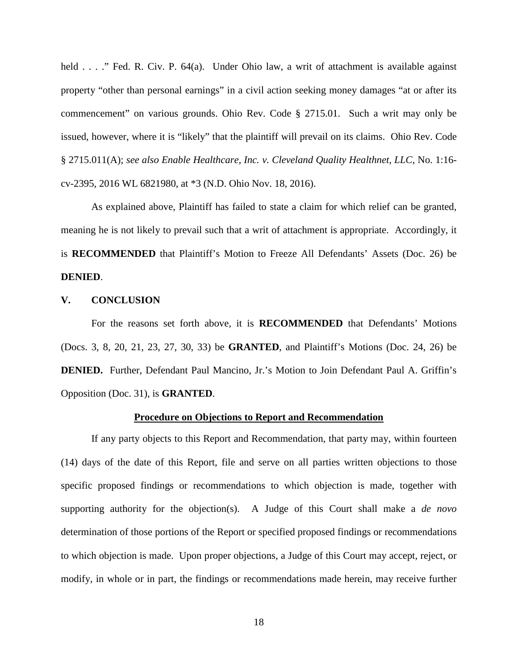held . . . ." Fed. R. Civ. P. 64(a). Under Ohio law, a writ of attachment is available against property "other than personal earnings" in a civil action seeking money damages "at or after its commencement" on various grounds. Ohio Rev. Code § 2715.01. Such a writ may only be issued, however, where it is "likely" that the plaintiff will prevail on its claims. Ohio Rev. Code § 2715.011(A); *see also Enable Healthcare, Inc. v. Cleveland Quality Healthnet, LLC*, No. 1:16 cv-2395, 2016 WL 6821980, at \*3 (N.D. Ohio Nov. 18, 2016).

As explained above, Plaintiff has failed to state a claim for which relief can be granted, meaning he is not likely to prevail such that a writ of attachment is appropriate. Accordingly, it is **RECOMMENDED** that Plaintiff's Motion to Freeze All Defendants' Assets (Doc. 26) be **DENIED**.

#### **V. CONCLUSION**

For the reasons set forth above, it is **RECOMMENDED** that Defendants' Motions (Docs. 3, 8, 20, 21, 23, 27, 30, 33) be **GRANTED**, and Plaintiff's Motions (Doc. 24, 26) be **DENIED.** Further, Defendant Paul Mancino, Jr.'s Motion to Join Defendant Paul A. Griffin's Opposition (Doc. 31), is **GRANTED**.

### **Procedure on Objections to Report and Recommendation**

If any party objects to this Report and Recommendation, that party may, within fourteen (14) days of the date of this Report, file and serve on all parties written objections to those specific proposed findings or recommendations to which objection is made, together with supporting authority for the objection(s). A Judge of this Court shall make a *de novo* determination of those portions of the Report or specified proposed findings or recommendations to which objection is made. Upon proper objections, a Judge of this Court may accept, reject, or modify, in whole or in part, the findings or recommendations made herein, may receive further